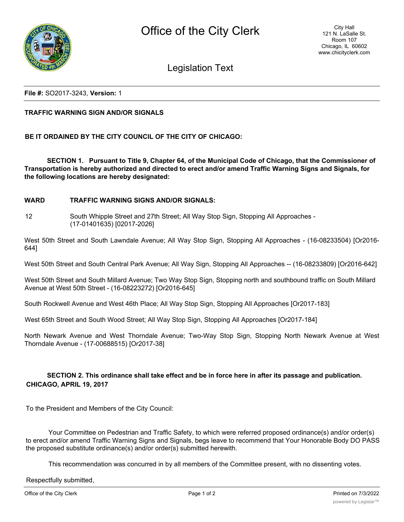

Legislation Text

## **File #:** SO2017-3243, **Version:** 1

## **TRAFFIC WARNING SIGN AND/OR SIGNALS**

**BE IT ORDAINED BY THE CITY COUNCIL OF THE CITY OF CHICAGO:**

**SECTION 1. Pursuant to Title 9, Chapter 64, of the Municipal Code of Chicago, that the Commissioner of Transportation is hereby authorized and directed to erect and/or amend Traffic Warning Signs and Signals, for the following locations are hereby designated:**

## **WARD TRAFFIC WARNING SIGNS AND/OR SIGNALS:**

12 South Whipple Street and 27th Street; All Way Stop Sign, Stopping All Approaches -(17-01401635) [02017-2026]

West 50th Street and South Lawndale Avenue; All Way Stop Sign, Stopping All Approaches - (16-08233504) [Or2016- 644]

West 50th Street and South Central Park Avenue; All Way Sign, Stopping All Approaches -- (16-08233809) [Or2016-642]

West 50th Street and South Millard Avenue; Two Way Stop Sign, Stopping north and southbound traffic on South Millard Avenue at West 50th Street - (16-08223272) [Or2016-645]

South Rockwell Avenue and West 46th Place; All Way Stop Sign, Stopping All Approaches [Or2017-183]

West 65th Street and South Wood Street; All Way Stop Sign, Stopping All Approaches [Or2017-184]

North Newark Avenue and West Thorndale Avenue; Two-Way Stop Sign, Stopping North Newark Avenue at West Thorndale Avenue - (17-00688515) [Or2017-38]

## **SECTION 2. This ordinance shall take effect and be in force here in after its passage and publication. CHICAGO, APRIL 19, 2017**

To the President and Members of the City Council:

Your Committee on Pedestrian and Traffic Safety, to which were referred proposed ordinance(s) and/or order(s) to erect and/or amend Traffic Warning Signs and Signals, begs leave to recommend that Your Honorable Body DO PASS the proposed substitute ordinance(s) and/or order(s) submitted herewith.

This recommendation was concurred in by all members of the Committee present, with no dissenting votes.

Respectfully submitted,